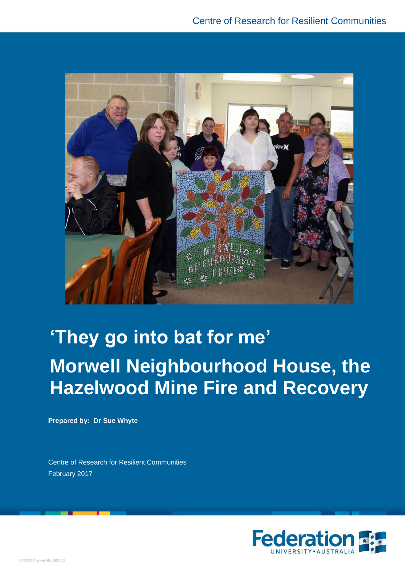

# **'They go into bat for me' Morwell Neighbourhood House, the Hazelwood Mine Fire and Recovery**

**Prepared by: Dr Sue Whyte**

Centre of Research for Resilient Communities February 2017

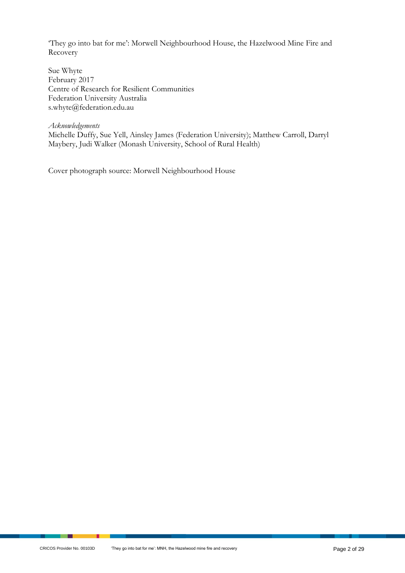'They go into bat for me': Morwell Neighbourhood House, the Hazelwood Mine Fire and Recovery

Sue Whyte February 2017 Centre of Research for Resilient Communities Federation University Australia [s.whyte@federation.edu.au](mailto:s.whyte@federation.edu.au)

*Acknowledgements*

Michelle Duffy, Sue Yell, Ainsley James (Federation University); Matthew Carroll, Darryl Maybery, Judi Walker (Monash University, School of Rural Health)

Cover photograph source: Morwell Neighbourhood House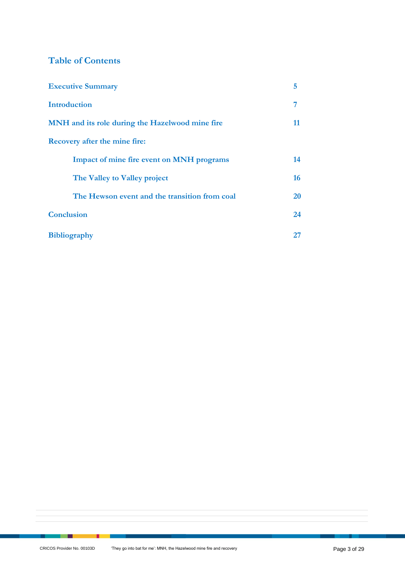## **Table of Contents**

| <b>Executive Summary</b>                         | 5  |
|--------------------------------------------------|----|
| Introduction                                     | 7  |
| MNH and its role during the Hazelwood mine fire  | 11 |
| Recovery after the mine fire:                    |    |
| <b>Impact of mine fire event on MNH programs</b> | 14 |
| The Valley to Valley project                     | 16 |
| The Hewson event and the transition from coal    | 20 |
| <b>Conclusion</b>                                | 24 |
| <b>Bibliography</b>                              | 27 |

a ka

٠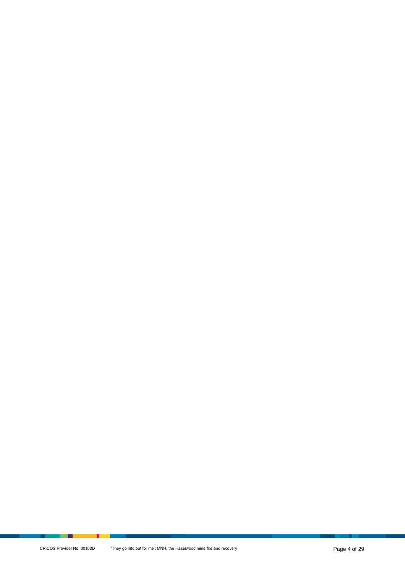г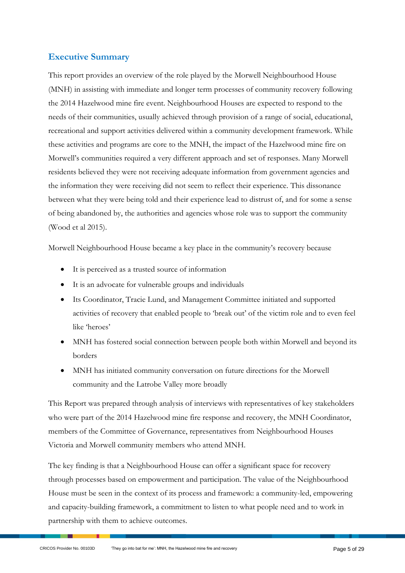### **Executive Summary**

This report provides an overview of the role played by the Morwell Neighbourhood House (MNH) in assisting with immediate and longer term processes of community recovery following the 2014 Hazelwood mine fire event. Neighbourhood Houses are expected to respond to the needs of their communities, usually achieved through provision of a range of social, educational, recreational and support activities delivered within a community development framework. While these activities and programs are core to the MNH, the impact of the Hazelwood mine fire on Morwell's communities required a very different approach and set of responses. Many Morwell residents believed they were not receiving adequate information from government agencies and the information they were receiving did not seem to reflect their experience. This dissonance between what they were being told and their experience lead to distrust of, and for some a sense of being abandoned by, the authorities and agencies whose role was to support the community (Wood et al 2015).

Morwell Neighbourhood House became a key place in the community's recovery because

- It is perceived as a trusted source of information
- It is an advocate for vulnerable groups and individuals
- Its Coordinator, Tracie Lund, and Management Committee initiated and supported activities of recovery that enabled people to 'break out' of the victim role and to even feel like 'heroes'
- MNH has fostered social connection between people both within Morwell and beyond its borders
- MNH has initiated community conversation on future directions for the Morwell community and the Latrobe Valley more broadly

This Report was prepared through analysis of interviews with representatives of key stakeholders who were part of the 2014 Hazelwood mine fire response and recovery, the MNH Coordinator, members of the Committee of Governance, representatives from Neighbourhood Houses Victoria and Morwell community members who attend MNH.

The key finding is that a Neighbourhood House can offer a significant space for recovery through processes based on empowerment and participation. The value of the Neighbourhood House must be seen in the context of its process and framework: a community-led, empowering and capacity-building framework, a commitment to listen to what people need and to work in partnership with them to achieve outcomes.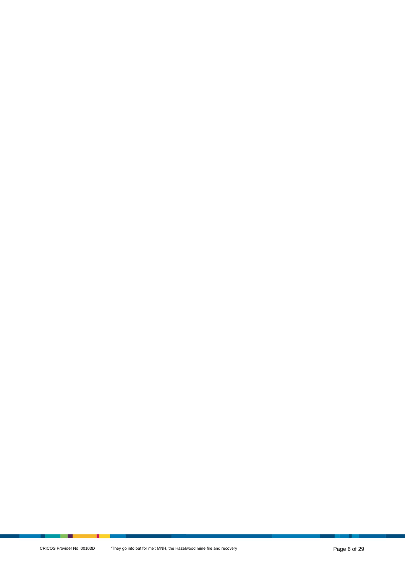г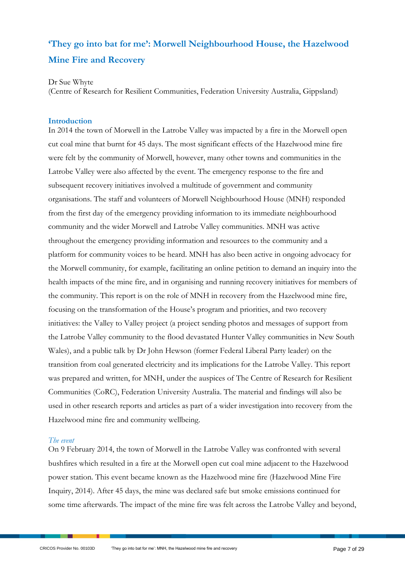# **'They go into bat for me': Morwell Neighbourhood House, the Hazelwood Mine Fire and Recovery**

#### Dr Sue Whyte

(Centre of Research for Resilient Communities, Federation University Australia, Gippsland)

#### **Introduction**

In 2014 the town of Morwell in the Latrobe Valley was impacted by a fire in the Morwell open cut coal mine that burnt for 45 days. The most significant effects of the Hazelwood mine fire were felt by the community of Morwell, however, many other towns and communities in the Latrobe Valley were also affected by the event. The emergency response to the fire and subsequent recovery initiatives involved a multitude of government and community organisations. The staff and volunteers of Morwell Neighbourhood House (MNH) responded from the first day of the emergency providing information to its immediate neighbourhood community and the wider Morwell and Latrobe Valley communities. MNH was active throughout the emergency providing information and resources to the community and a platform for community voices to be heard. MNH has also been active in ongoing advocacy for the Morwell community, for example, facilitating an online petition to demand an inquiry into the health impacts of the mine fire, and in organising and running recovery initiatives for members of the community. This report is on the role of MNH in recovery from the Hazelwood mine fire, focusing on the transformation of the House's program and priorities, and two recovery initiatives: the Valley to Valley project (a project sending photos and messages of support from the Latrobe Valley community to the flood devastated Hunter Valley communities in New South Wales), and a public talk by Dr John Hewson (former Federal Liberal Party leader) on the transition from coal generated electricity and its implications for the Latrobe Valley. This report was prepared and written, for MNH, under the auspices of The Centre of Research for Resilient Communities (CoRC), Federation University Australia. The material and findings will also be used in other research reports and articles as part of a wider investigation into recovery from the Hazelwood mine fire and community wellbeing.

#### *The event*

On 9 February 2014, the town of Morwell in the Latrobe Valley was confronted with several bushfires which resulted in a fire at the Morwell open cut coal mine adjacent to the Hazelwood power station. This event became known as the Hazelwood mine fire (Hazelwood Mine Fire Inquiry, 2014). After 45 days, the mine was declared safe but smoke emissions continued for some time afterwards. The impact of the mine fire was felt across the Latrobe Valley and beyond,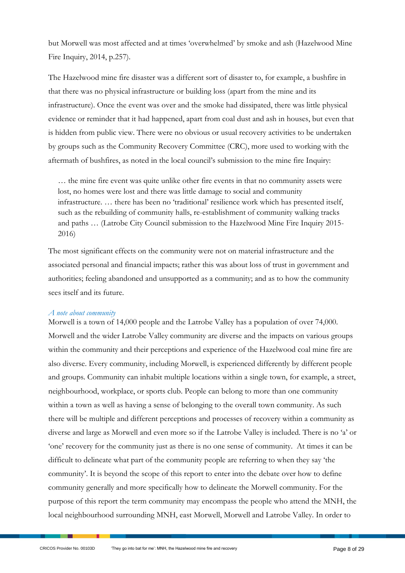but Morwell was most affected and at times 'overwhelmed' by smoke and ash (Hazelwood Mine Fire Inquiry, 2014, p.257).

The Hazelwood mine fire disaster was a different sort of disaster to, for example, a bushfire in that there was no physical infrastructure or building loss (apart from the mine and its infrastructure). Once the event was over and the smoke had dissipated, there was little physical evidence or reminder that it had happened, apart from coal dust and ash in houses, but even that is hidden from public view. There were no obvious or usual recovery activities to be undertaken by groups such as the Community Recovery Committee (CRC), more used to working with the aftermath of bushfires, as noted in the local council's submission to the mine fire Inquiry:

… the mine fire event was quite unlike other fire events in that no community assets were lost, no homes were lost and there was little damage to social and community infrastructure. … there has been no 'traditional' resilience work which has presented itself, such as the rebuilding of community halls, re-establishment of community walking tracks and paths … (Latrobe City Council submission to the Hazelwood Mine Fire Inquiry 2015- 2016)

The most significant effects on the community were not on material infrastructure and the associated personal and financial impacts; rather this was about loss of trust in government and authorities; feeling abandoned and unsupported as a community; and as to how the community sees itself and its future.

#### *A note about community*

Morwell is a town of 14,000 people and the Latrobe Valley has a population of over 74,000. Morwell and the wider Latrobe Valley community are diverse and the impacts on various groups within the community and their perceptions and experience of the Hazelwood coal mine fire are also diverse. Every community, including Morwell, is experienced differently by different people and groups. Community can inhabit multiple locations within a single town, for example, a street, neighbourhood, workplace, or sports club. People can belong to more than one community within a town as well as having a sense of belonging to the overall town community. As such there will be multiple and different perceptions and processes of recovery within a community as diverse and large as Morwell and even more so if the Latrobe Valley is included. There is no 'a' or 'one' recovery for the community just as there is no one sense of community. At times it can be difficult to delineate what part of the community people are referring to when they say 'the community'. It is beyond the scope of this report to enter into the debate over how to define community generally and more specifically how to delineate the Morwell community. For the purpose of this report the term community may encompass the people who attend the MNH, the local neighbourhood surrounding MNH, east Morwell, Morwell and Latrobe Valley. In order to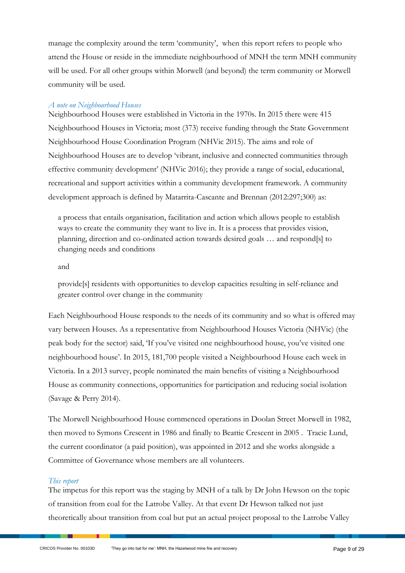manage the complexity around the term 'community', when this report refers to people who attend the House or reside in the immediate neighbourhood of MNH the term MNH community will be used. For all other groups within Morwell (and beyond) the term community or Morwell community will be used.

#### *A note on Neighbourhood Houses*

Neighbourhood Houses were established in Victoria in the 1970s. In 2015 there were 415 Neighbourhood Houses in Victoria; most (373) receive funding through the State Government Neighbourhood House Coordination Program (NHVic 2015). The aims and role of Neighbourhood Houses are to develop 'vibrant, inclusive and connected communities through effective community development' (NHVic 2016); they provide a range of social, educational, recreational and support activities within a community development framework. A community development approach is defined by Matarrita-Cascante and Brennan (2012:297;300) as:

a process that entails organisation, facilitation and action which allows people to establish ways to create the community they want to live in. It is a process that provides vision, planning, direction and co-ordinated action towards desired goals … and respond[s] to changing needs and conditions

#### and

provide[s] residents with opportunities to develop capacities resulting in self-reliance and greater control over change in the community

Each Neighbourhood House responds to the needs of its community and so what is offered may vary between Houses. As a representative from Neighbourhood Houses Victoria (NHVic) (the peak body for the sector) said, 'If you've visited one neighbourhood house, you've visited one neighbourhood house'. In 2015, 181,700 people visited a Neighbourhood House each week in Victoria. In a 2013 survey, people nominated the main benefits of visiting a Neighbourhood House as community connections, opportunities for participation and reducing social isolation (Savage & Perry 2014).

The Morwell Neighbourhood House commenced operations in Doolan Street Morwell in 1982, then moved to Symons Crescent in 1986 and finally to Beattie Crescent in 2005 . Tracie Lund, the current coordinator (a paid position), was appointed in 2012 and she works alongside a Committee of Governance whose members are all volunteers.

#### *This report*

The impetus for this report was the staging by MNH of a talk by Dr John Hewson on the topic of transition from coal for the Latrobe Valley. At that event Dr Hewson talked not just theoretically about transition from coal but put an actual project proposal to the Latrobe Valley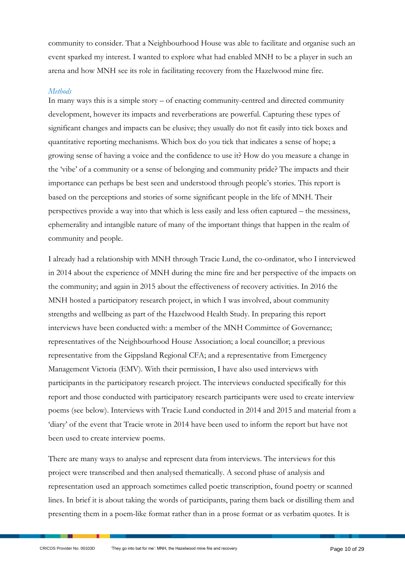community to consider. That a Neighbourhood House was able to facilitate and organise such an event sparked my interest. I wanted to explore what had enabled MNH to be a player in such an arena and how MNH see its role in facilitating recovery from the Hazelwood mine fire.

#### *Methods*

In many ways this is a simple story – of enacting community-centred and directed community development, however its impacts and reverberations are powerful. Capturing these types of significant changes and impacts can be elusive; they usually do not fit easily into tick boxes and quantitative reporting mechanisms. Which box do you tick that indicates a sense of hope; a growing sense of having a voice and the confidence to use it? How do you measure a change in the 'vibe' of a community or a sense of belonging and community pride? The impacts and their importance can perhaps be best seen and understood through people's stories. This report is based on the perceptions and stories of some significant people in the life of MNH. Their perspectives provide a way into that which is less easily and less often captured – the messiness, ephemerality and intangible nature of many of the important things that happen in the realm of community and people.

I already had a relationship with MNH through Tracie Lund, the co-ordinator, who I interviewed in 2014 about the experience of MNH during the mine fire and her perspective of the impacts on the community; and again in 2015 about the effectiveness of recovery activities. In 2016 the MNH hosted a participatory research project, in which I was involved, about community strengths and wellbeing as part of the Hazelwood Health Study. In preparing this report interviews have been conducted with: a member of the MNH Committee of Governance; representatives of the Neighbourhood House Association; a local councillor; a previous representative from the Gippsland Regional CFA; and a representative from Emergency Management Victoria (EMV). With their permission, I have also used interviews with participants in the participatory research project. The interviews conducted specifically for this report and those conducted with participatory research participants were used to create interview poems (see below). Interviews with Tracie Lund conducted in 2014 and 2015 and material from a 'diary' of the event that Tracie wrote in 2014 have been used to inform the report but have not been used to create interview poems.

There are many ways to analyse and represent data from interviews. The interviews for this project were transcribed and then analysed thematically. A second phase of analysis and representation used an approach sometimes called poetic transcription, found poetry or scanned lines. In brief it is about taking the words of participants, paring them back or distilling them and presenting them in a poem-like format rather than in a prose format or as verbatim quotes. It is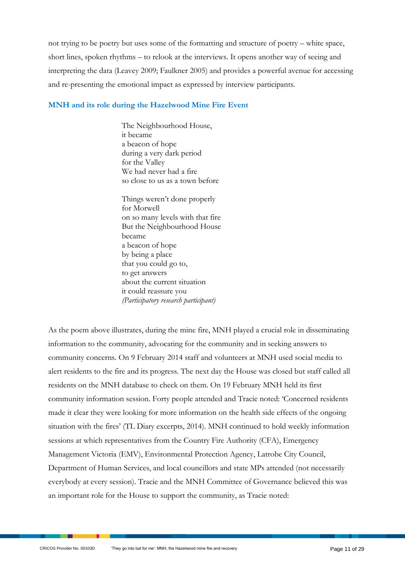not trying to be poetry but uses some of the formatting and structure of poetry – white space, short lines, spoken rhythms – to relook at the interviews. It opens another way of seeing and interpreting the data (Leavey 2009; Faulkner 2005) and provides a powerful avenue for accessing and re-presenting the emotional impact as expressed by interview participants.

#### **MNH and its role during the Hazelwood Mine Fire Event**

The Neighbourhood House, it became a beacon of hope during a very dark period for the Valley We had never had a fire so close to us as a town before

Things weren't done properly for Morwell on so many levels with that fire But the Neighbourhood House became a beacon of hope by being a place that you could go to, to get answers about the current situation it could reassure you *(Participatory research participant)*

As the poem above illustrates, during the mine fire, MNH played a crucial role in disseminating information to the community, advocating for the community and in seeking answers to community concerns. On 9 February 2014 staff and volunteers at MNH used social media to alert residents to the fire and its progress. The next day the House was closed but staff called all residents on the MNH database to check on them. On 19 February MNH held its first community information session. Forty people attended and Tracie noted: 'Concerned residents made it clear they were looking for more information on the health side effects of the ongoing situation with the fires' (TL Diary excerpts, 2014). MNH continued to hold weekly information sessions at which representatives from the Country Fire Authority (CFA), Emergency Management Victoria (EMV), Environmental Protection Agency, Latrobe City Council, Department of Human Services, and local councillors and state MPs attended (not necessarily everybody at every session). Tracie and the MNH Committee of Governance believed this was an important role for the House to support the community, as Tracie noted: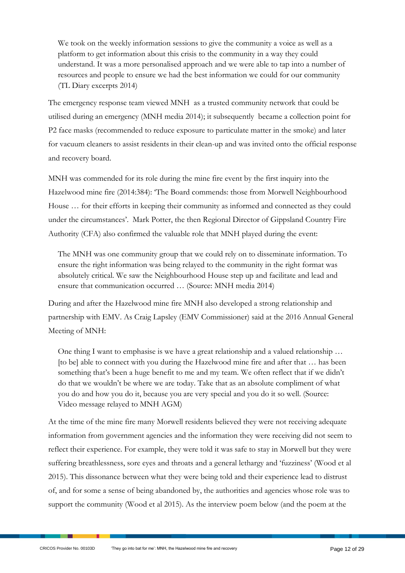We took on the weekly information sessions to give the community a voice as well as a platform to get information about this crisis to the community in a way they could understand. It was a more personalised approach and we were able to tap into a number of resources and people to ensure we had the best information we could for our community (TL Diary excerpts 2014)

The emergency response team viewed MNH as a trusted community network that could be utilised during an emergency (MNH media 2014); it subsequently became a collection point for P2 face masks (recommended to reduce exposure to particulate matter in the smoke) and later for vacuum cleaners to assist residents in their clean-up and was invited onto the official response and recovery board.

MNH was commended for its role during the mine fire event by the first inquiry into the Hazelwood mine fire (2014:384): 'The Board commends: those from Morwell Neighbourhood House … for their efforts in keeping their community as informed and connected as they could under the circumstances'. Mark Potter, the then Regional Director of Gippsland Country Fire Authority (CFA) also confirmed the valuable role that MNH played during the event:

The MNH was one community group that we could rely on to disseminate information. To ensure the right information was being relayed to the community in the right format was absolutely critical. We saw the Neighbourhood House step up and facilitate and lead and ensure that communication occurred … (Source: MNH media 2014)

During and after the Hazelwood mine fire MNH also developed a strong relationship and partnership with EMV. As Craig Lapsley (EMV Commissioner) said at the 2016 Annual General Meeting of MNH:

One thing I want to emphasise is we have a great relationship and a valued relationship … [to be] able to connect with you during the Hazelwood mine fire and after that ... has been something that's been a huge benefit to me and my team. We often reflect that if we didn't do that we wouldn't be where we are today. Take that as an absolute compliment of what you do and how you do it, because you are very special and you do it so well. (Source: Video message relayed to MNH AGM)

At the time of the mine fire many Morwell residents believed they were not receiving adequate information from government agencies and the information they were receiving did not seem to reflect their experience. For example, they were told it was safe to stay in Morwell but they were suffering breathlessness, sore eyes and throats and a general lethargy and 'fuzziness' (Wood et al 2015). This dissonance between what they were being told and their experience lead to distrust of, and for some a sense of being abandoned by, the authorities and agencies whose role was to support the community (Wood et al 2015). As the interview poem below (and the poem at the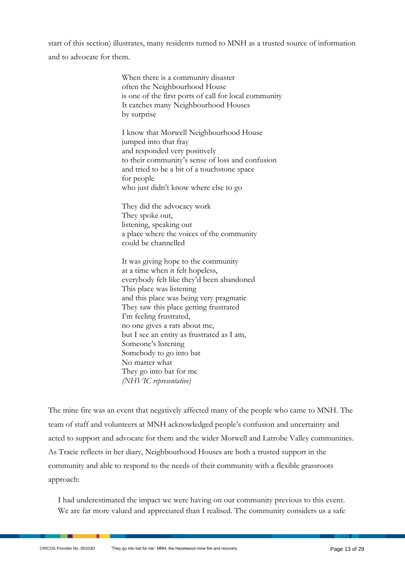start of this section) illustrates, many residents turned to MNH as a trusted source of information and to advocate for them.

> When there is a community disaster often the Neighbourhood House is one of the first ports of call for local community It catches many Neighbourhood Houses by surprise I know that Morwell Neighbourhood House jumped into that fray and responded very positively to their community's sense of loss and confusion and tried to be a bit of a touchstone space for people who just didn't know where else to go They did the advocacy work They spoke out, listening, speaking out a place where the voices of the community could be channelled It was giving hope to the community at a time when it felt hopeless, everybody felt like they'd been abandoned This place was listening and this place was being very pragmatic They saw this place getting frustrated I'm feeling frustrated, no one gives a rats about me, but I see an entity as frustrated as I am, Someone's listening Somebody to go into bat No matter what They go into bat for me *(NHVIC representative)*

The mine fire was an event that negatively affected many of the people who came to MNH. The team of staff and volunteers at MNH acknowledged people's confusion and uncertainty and acted to support and advocate for them and the wider Morwell and Latrobe Valley communities. As Tracie reflects in her diary, Neighbourhood Houses are both a trusted support in the community and able to respond to the needs of their community with a flexible grassroots approach:

I had underestimated the impact we were having on our community previous to this event. We are far more valued and appreciated than I realised. The community considers us a safe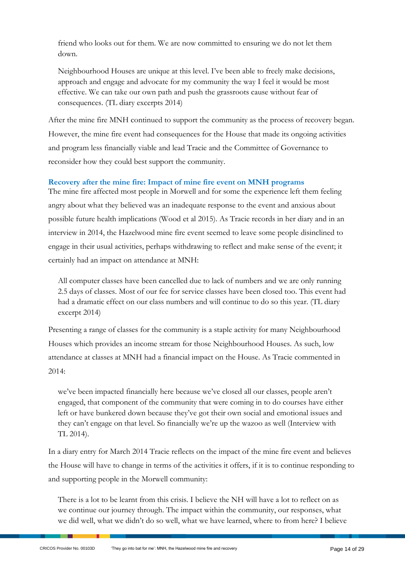friend who looks out for them. We are now committed to ensuring we do not let them down.

Neighbourhood Houses are unique at this level. I've been able to freely make decisions, approach and engage and advocate for my community the way I feel it would be most effective. We can take our own path and push the grassroots cause without fear of consequences. (TL diary excerpts 2014)

After the mine fire MNH continued to support the community as the process of recovery began. However, the mine fire event had consequences for the House that made its ongoing activities and program less financially viable and lead Tracie and the Committee of Governance to reconsider how they could best support the community.

#### **Recovery after the mine fire: Impact of mine fire event on MNH programs**

The mine fire affected most people in Morwell and for some the experience left them feeling angry about what they believed was an inadequate response to the event and anxious about possible future health implications (Wood et al 2015). As Tracie records in her diary and in an interview in 2014, the Hazelwood mine fire event seemed to leave some people disinclined to engage in their usual activities, perhaps withdrawing to reflect and make sense of the event; it certainly had an impact on attendance at MNH:

All computer classes have been cancelled due to lack of numbers and we are only running 2.5 days of classes. Most of our fee for service classes have been closed too. This event had had a dramatic effect on our class numbers and will continue to do so this year. (TL diary excerpt 2014)

Presenting a range of classes for the community is a staple activity for many Neighbourhood Houses which provides an income stream for those Neighbourhood Houses. As such, low attendance at classes at MNH had a financial impact on the House. As Tracie commented in  $2014$ 

we've been impacted financially here because we've closed all our classes, people aren't engaged, that component of the community that were coming in to do courses have either left or have bunkered down because they've got their own social and emotional issues and they can't engage on that level. So financially we're up the wazoo as well (Interview with TL 2014).

In a diary entry for March 2014 Tracie reflects on the impact of the mine fire event and believes the House will have to change in terms of the activities it offers, if it is to continue responding to and supporting people in the Morwell community:

There is a lot to be learnt from this crisis. I believe the NH will have a lot to reflect on as we continue our journey through. The impact within the community, our responses, what we did well, what we didn't do so well, what we have learned, where to from here? I believe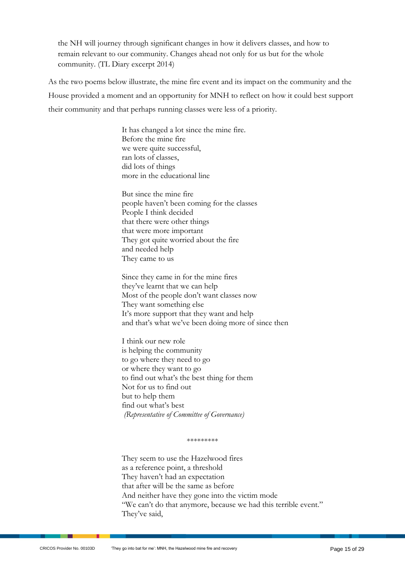the NH will journey through significant changes in how it delivers classes, and how to remain relevant to our community. Changes ahead not only for us but for the whole community. (TL Diary excerpt 2014)

As the two poems below illustrate, the mine fire event and its impact on the community and the House provided a moment and an opportunity for MNH to reflect on how it could best support their community and that perhaps running classes were less of a priority.

> It has changed a lot since the mine fire. Before the mine fire we were quite successful, ran lots of classes, did lots of things more in the educational line

But since the mine fire people haven't been coming for the classes People I think decided that there were other things that were more important They got quite worried about the fire and needed help They came to us

Since they came in for the mine fires they've learnt that we can help Most of the people don't want classes now They want something else It's more support that they want and help and that's what we've been doing more of since then

I think our new role is helping the community to go where they need to go or where they want to go to find out what's the best thing for them Not for us to find out but to help them find out what's best *(Representative of Committee of Governance)*

\*\*\*\*\*\*\*\*\*

They seem to use the Hazelwood fires as a reference point, a threshold They haven't had an expectation that after will be the same as before And neither have they gone into the victim mode "We can't do that anymore, because we had this terrible event." They've said,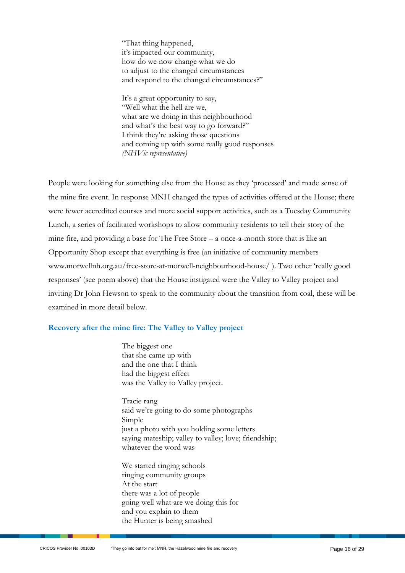"That thing happened, it's impacted our community, how do we now change what we do to adjust to the changed circumstances and respond to the changed circumstances?"

It's a great opportunity to say, "Well what the hell are we, what are we doing in this neighbourhood and what's the best way to go forward?" I think they're asking those questions and coming up with some really good responses *(NHVic representative)*

People were looking for something else from the House as they 'processed' and made sense of the mine fire event. In response MNH changed the types of activities offered at the House; there were fewer accredited courses and more social support activities, such as a Tuesday Community Lunch, a series of facilitated workshops to allow community residents to tell their story of the mine fire, and providing a base for The Free Store – a once-a-month store that is like an Opportunity Shop except that everything is free (an initiative of community members [www.morwellnh.org.au/free-store-at-morwell-neighbourhood-house/](http://www.morwellnh.org.au/free-store-at-morwell-neighbourhood-house/) ). Two other 'really good responses' (see poem above) that the House instigated were the Valley to Valley project and inviting Dr John Hewson to speak to the community about the transition from coal, these will be examined in more detail below.

#### **Recovery after the mine fire: The Valley to Valley project**

The biggest one that she came up with and the one that I think had the biggest effect was the Valley to Valley project.

Tracie rang said we're going to do some photographs Simple just a photo with you holding some letters saying mateship; valley to valley; love; friendship; whatever the word was

We started ringing schools ringing community groups At the start there was a lot of people going well what are we doing this for and you explain to them the Hunter is being smashed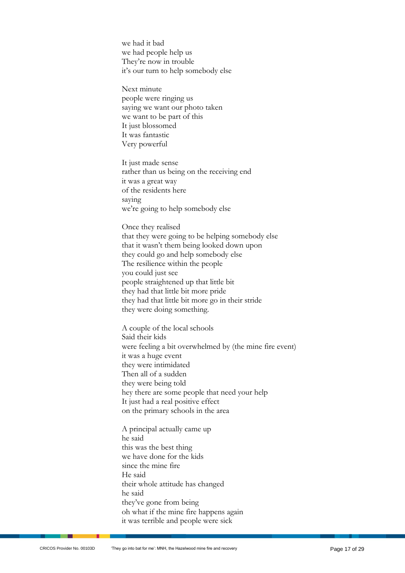we had it bad we had people help us They're now in trouble it's our turn to help somebody else

Next minute people were ringing us saying we want our photo taken we want to be part of this It just blossomed It was fantastic Very powerful

It just made sense rather than us being on the receiving end it was a great way of the residents here saying we're going to help somebody else

Once they realised that they were going to be helping somebody else that it wasn't them being looked down upon they could go and help somebody else The resilience within the people you could just see people straightened up that little bit they had that little bit more pride they had that little bit more go in their stride they were doing something.

A couple of the local schools Said their kids were feeling a bit overwhelmed by (the mine fire event) it was a huge event they were intimidated Then all of a sudden they were being told hey there are some people that need your help It just had a real positive effect on the primary schools in the area

A principal actually came up he said this was the best thing we have done for the kids since the mine fire He said their whole attitude has changed he said they've gone from being oh what if the mine fire happens again it was terrible and people were sick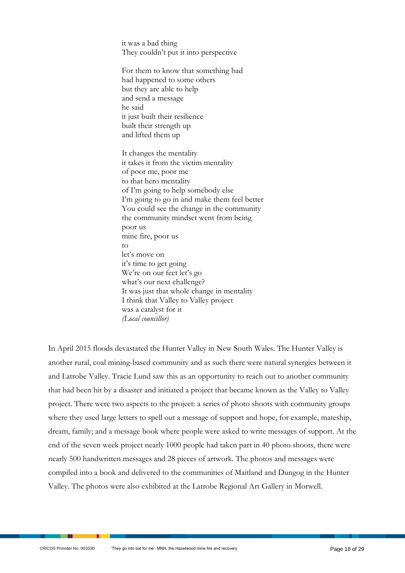it was a bad thing They couldn't put it into perspective

For them to know that something bad had happened to some others but they are able to help and send a message he said it just built their resilience built their strength up and lifted them up

It changes the mentality it takes it from the victim mentality of poor me, poor me to that hero mentality of I'm going to help somebody else I'm going to go in and make them feel better You could see the change in the community the community mindset went from being poor us mine fire, poor us  $t_0$ let's move on it's time to get going We're on our feet let's go what's our next challenge? It was just that whole change in mentality I think that Valley to Valley project was a catalyst for it *(Local councillor)*

In April 2015 floods devastated the Hunter Valley in New South Wales. The Hunter Valley is another rural, coal mining-based community and as such there were natural synergies between it and Latrobe Valley. Tracie Lund saw this as an opportunity to reach out to another community that had been hit by a disaster and initiated a project that became known as the Valley to Valley project. There were two aspects to the project: a series of photo shoots with community groups where they used large letters to spell out a message of support and hope, for example, mateship, dream, family; and a message book where people were asked to write messages of support. At the end of the seven week project nearly 1000 people had taken part in 40 photo shoots, there were nearly 500 handwritten messages and 28 pieces of artwork. The photos and messages were compiled into a book and delivered to the communities of Maitland and Dungog in the Hunter Valley. The photos were also exhibited at the Latrobe Regional Art Gallery in Morwell.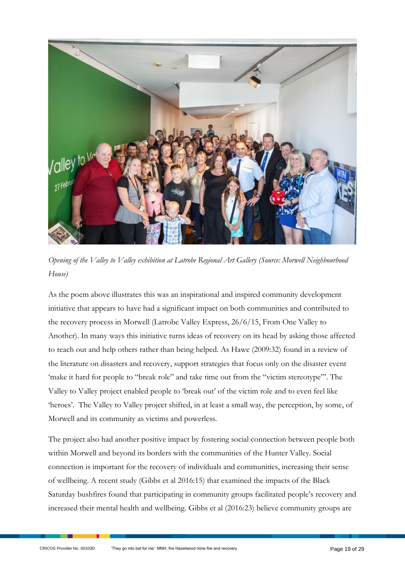

*Opening of the Valley to Valley exhibition at Latrobe Regional Art Gallery (Source: Morwell Neighbourhood House)*

As the poem above illustrates this was an inspirational and inspired community development initiative that appears to have had a significant impact on both communities and contributed to the recovery process in Morwell (Latrobe Valley Express, 26/6/15, From One Valley to Another). In many ways this initiative turns ideas of recovery on its head by asking those affected to reach out and help others rather than being helped. As Hawe (2009:32) found in a review of the literature on disasters and recovery, support strategies that focus only on the disaster event 'make it hard for people to "break role" and take time out from the "victim stereotype"'. The Valley to Valley project enabled people to 'break out' of the victim role and to even feel like 'heroes'. The Valley to Valley project shifted, in at least a small way, the perception, by some, of Morwell and its community as victims and powerless.

The project also had another positive impact by fostering social connection between people both within Morwell and beyond its borders with the communities of the Hunter Valley. Social connection is important for the recovery of individuals and communities, increasing their sense of wellbeing. A recent study (Gibbs et al 2016:15) that examined the impacts of the Black Saturday bushfires found that participating in community groups facilitated people's recovery and increased their mental health and wellbeing. Gibbs et al (2016:23) believe community groups are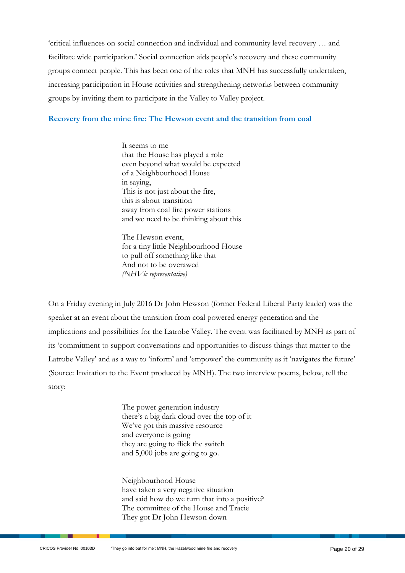'critical influences on social connection and individual and community level recovery … and facilitate wide participation.' Social connection aids people's recovery and these community groups connect people. This has been one of the roles that MNH has successfully undertaken, increasing participation in House activities and strengthening networks between community groups by inviting them to participate in the Valley to Valley project.

#### **Recovery from the mine fire: The Hewson event and the transition from coal**

It seems to me that the House has played a role even beyond what would be expected of a Neighbourhood House in saying, This is not just about the fire, this is about transition away from coal fire power stations and we need to be thinking about this

The Hewson event, for a tiny little Neighbourhood House to pull off something like that And not to be overawed *(NHVic representative)*

On a Friday evening in July 2016 Dr John Hewson (former Federal Liberal Party leader) was the speaker at an event about the transition from coal powered energy generation and the implications and possibilities for the Latrobe Valley. The event was facilitated by MNH as part of its 'commitment to support conversations and opportunities to discuss things that matter to the Latrobe Valley' and as a way to 'inform' and 'empower' the community as it 'navigates the future' (Source: Invitation to the Event produced by MNH). The two interview poems, below, tell the story:

> The power generation industry there's a big dark cloud over the top of it We've got this massive resource and everyone is going they are going to flick the switch and 5,000 jobs are going to go.

Neighbourhood House have taken a very negative situation and said how do we turn that into a positive? The committee of the House and Tracie They got Dr John Hewson down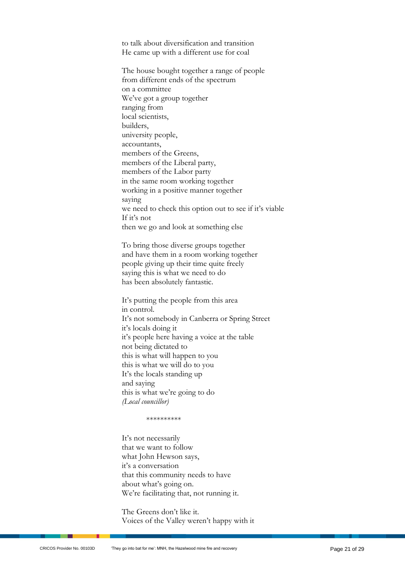to talk about diversification and transition He came up with a different use for coal

The house bought together a range of people from different ends of the spectrum on a committee We've got a group together ranging from local scientists, builders, university people, accountants, members of the Greens, members of the Liberal party, members of the Labor party in the same room working together working in a positive manner together saying we need to check this option out to see if it's viable If it's not then we go and look at something else

To bring those diverse groups together and have them in a room working together people giving up their time quite freely saying this is what we need to do has been absolutely fantastic.

It's putting the people from this area in control. It's not somebody in Canberra or Spring Street it's locals doing it it's people here having a voice at the table not being dictated to this is what will happen to you this is what we will do to you It's the locals standing up and saying this is what we're going to do *(Local councillor)*

\*\*\*\*\*\*\*\*\*\*

It's not necessarily that we want to follow what John Hewson says, it's a conversation that this community needs to have about what's going on. We're facilitating that, not running it.

The Greens don't like it. Voices of the Valley weren't happy with it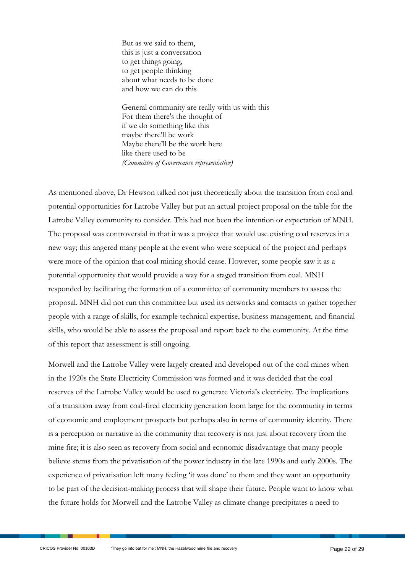But as we said to them, this is just a conversation to get things going, to get people thinking about what needs to be done and how we can do this

General community are really with us with this For them there's the thought of if we do something like this maybe there'll be work Maybe there'll be the work here like there used to be *(Committee of Governance representative)*

As mentioned above, Dr Hewson talked not just theoretically about the transition from coal and potential opportunities for Latrobe Valley but put an actual project proposal on the table for the Latrobe Valley community to consider. This had not been the intention or expectation of MNH. The proposal was controversial in that it was a project that would use existing coal reserves in a new way; this angered many people at the event who were sceptical of the project and perhaps were more of the opinion that coal mining should cease. However, some people saw it as a potential opportunity that would provide a way for a staged transition from coal. MNH responded by facilitating the formation of a committee of community members to assess the proposal. MNH did not run this committee but used its networks and contacts to gather together people with a range of skills, for example technical expertise, business management, and financial skills, who would be able to assess the proposal and report back to the community. At the time of this report that assessment is still ongoing.

Morwell and the Latrobe Valley were largely created and developed out of the coal mines when in the 1920s the State Electricity Commission was formed and it was decided that the coal reserves of the Latrobe Valley would be used to generate Victoria's electricity. The implications of a transition away from coal-fired electricity generation loom large for the community in terms of economic and employment prospects but perhaps also in terms of community identity. There is a perception or narrative in the community that recovery is not just about recovery from the mine fire; it is also seen as recovery from social and economic disadvantage that many people believe stems from the privatisation of the power industry in the late 1990s and early 2000s. The experience of privatisation left many feeling 'it was done' to them and they want an opportunity to be part of the decision-making process that will shape their future. People want to know what the future holds for Morwell and the Latrobe Valley as climate change precipitates a need to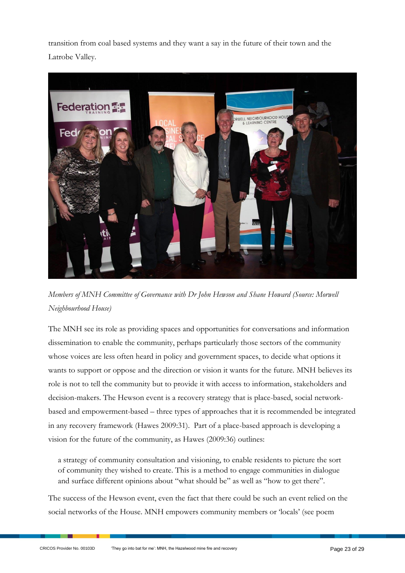transition from coal based systems and they want a say in the future of their town and the Latrobe Valley.



*Members of MNH Committee of Governance with Dr John Hewson and Shane Howard (Source: Morwell Neighbourhood House)*

The MNH see its role as providing spaces and opportunities for conversations and information dissemination to enable the community, perhaps particularly those sectors of the community whose voices are less often heard in policy and government spaces, to decide what options it wants to support or oppose and the direction or vision it wants for the future. MNH believes its role is not to tell the community but to provide it with access to information, stakeholders and decision-makers. The Hewson event is a recovery strategy that is place-based, social networkbased and empowerment-based – three types of approaches that it is recommended be integrated in any recovery framework (Hawes 2009:31). Part of a place-based approach is developing a vision for the future of the community, as Hawes (2009:36) outlines:

a strategy of community consultation and visioning, to enable residents to picture the sort of community they wished to create. This is a method to engage communities in dialogue and surface different opinions about "what should be" as well as "how to get there".

The success of the Hewson event, even the fact that there could be such an event relied on the social networks of the House. MNH empowers community members or 'locals' (see poem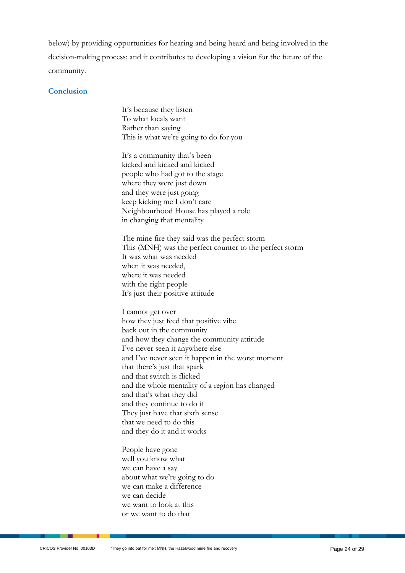below) by providing opportunities for hearing and being heard and being involved in the decision-making process; and it contributes to developing a vision for the future of the community.

#### **Conclusion**

It's because they listen To what locals want Rather than saying This is what we're going to do for you

It's a community that's been kicked and kicked and kicked people who had got to the stage where they were just down and they were just going keep kicking me I don't care Neighbourhood House has played a role in changing that mentality

The mine fire they said was the perfect storm This (MNH) was the perfect counter to the perfect storm It was what was needed when it was needed, where it was needed with the right people It's just their positive attitude

I cannot get over how they just feed that positive vibe back out in the community and how they change the community attitude I've never seen it anywhere else and I've never seen it happen in the worst moment that there's just that spark and that switch is flicked and the whole mentality of a region has changed and that's what they did and they continue to do it They just have that sixth sense that we need to do this and they do it and it works

People have gone well you know what we can have a say about what we're going to do we can make a difference we can decide we want to look at this or we want to do that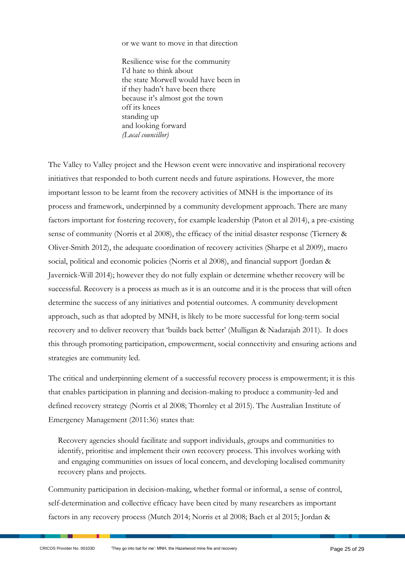#### or we want to move in that direction

Resilience wise for the community I'd hate to think about the state Morwell would have been in if they hadn't have been there because it's almost got the town off its knees standing up and looking forward *(Local councillor)*

The Valley to Valley project and the Hewson event were innovative and inspirational recovery initiatives that responded to both current needs and future aspirations. However, the more important lesson to be learnt from the recovery activities of MNH is the importance of its process and framework, underpinned by a community development approach. There are many factors important for fostering recovery, for example leadership (Paton et al 2014), a pre-existing sense of community (Norris et al 2008), the efficacy of the initial disaster response (Tiernery & Oliver-Smith 2012), the adequate coordination of recovery activities (Sharpe et al 2009), macro social, political and economic policies (Norris et al 2008), and financial support (Jordan & Javernick-Will 2014); however they do not fully explain or determine whether recovery will be successful. Recovery is a process as much as it is an outcome and it is the process that will often determine the success of any initiatives and potential outcomes. A community development approach, such as that adopted by MNH, is likely to be more successful for long-term social recovery and to deliver recovery that 'builds back better' (Mulligan & Nadarajah 2011). It does this through promoting participation, empowerment, social connectivity and ensuring actions and strategies are community led.

The critical and underpinning element of a successful recovery process is empowerment; it is this that enables participation in planning and decision-making to produce a community-led and defined recovery strategy (Norris et al 2008; Thornley et al 2015). The Australian Institute of Emergency Management (2011:36) states that:

Recovery agencies should facilitate and support individuals, groups and communities to identify, prioritise and implement their own recovery process. This involves working with and engaging communities on issues of local concern, and developing localised community recovery plans and projects.

Community participation in decision-making, whether formal or informal, a sense of control, self-determination and collective efficacy have been cited by many researchers as important factors in any recovery process (Mutch 2014; Norris et al 2008; Bach et al 2015; Jordan &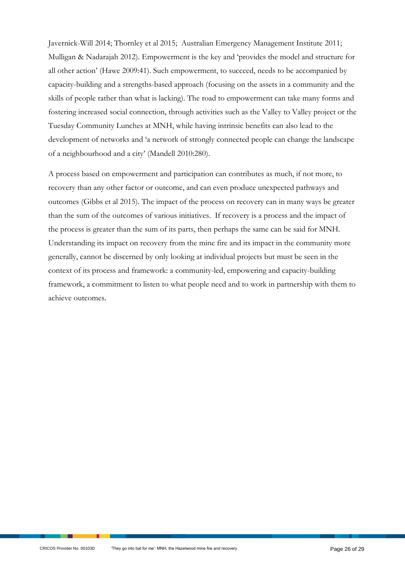Javernick-Will 2014; Thornley et al 2015; Australian Emergency Management Institute 2011; Mulligan & Nadarajah 2012). Empowerment is the key and 'provides the model and structure for all other action' (Hawe 2009:41). Such empowerment, to succeed, needs to be accompanied by capacity-building and a strengths-based approach (focusing on the assets in a community and the skills of people rather than what is lacking). The road to empowerment can take many forms and fostering increased social connection, through activities such as the Valley to Valley project or the Tuesday Community Lunches at MNH, while having intrinsic benefits can also lead to the development of networks and 'a network of strongly connected people can change the landscape of a neighbourhood and a city' (Mandell 2010:280).

A process based on empowerment and participation can contributes as much, if not more, to recovery than any other factor or outcome, and can even produce unexpected pathways and outcomes (Gibbs et al 2015). The impact of the process on recovery can in many ways be greater than the sum of the outcomes of various initiatives. If recovery is a process and the impact of the process is greater than the sum of its parts, then perhaps the same can be said for MNH. Understanding its impact on recovery from the mine fire and its impact in the community more generally, cannot be discerned by only looking at individual projects but must be seen in the context of its process and framework: a community-led, empowering and capacity-building framework, a commitment to listen to what people need and to work in partnership with them to achieve outcomes.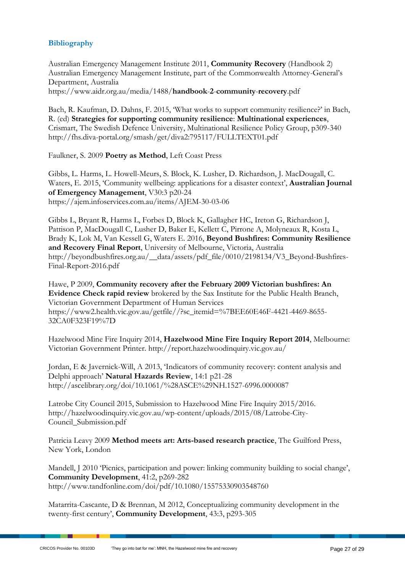#### **Bibliography**

Australian Emergency Management Institute 2011, **Community Recovery** (Handbook 2) Australian Emergency Management Institute, part of the Commonwealth Attorney-General's Department, Australia

[https://www.aidr.org.au/media/1488/](https://www.aidr.org.au/media/1488/handbook-2-community-recovery.pdf)**handbook**-**2**-**community**-**recovery**.pdf

Bach, R. Kaufman, D. Dahns, F. 2015, 'What works to support community resilience?' in Bach, R. (ed) **Strategies for supporting community resilience**: **Multinational experiences**, Crismart, The Swedish Defence University, Multinational Resilience Policy Group, p309-340 <http://fhs.diva-portal.org/smash/get/diva2:795117/FULLTEXT01.pdf>

Faulkner, S. 2009 **Poetry as Method**, Left Coast Press

Gibbs, L. Harms, L. Howell-Meurs, S. Block, K. Lusher, D. Richardson, J. MacDougall, C. Waters, E. 2015, 'Community wellbeing: applications for a disaster context', **Australian Journal of Emergency Management**, V30:3 p20-24 <https://ajem.infoservices.com.au/items/AJEM-30-03-06>

Gibbs L, Bryant R, Harms L, Forbes D, Block K, Gallagher HC, Ireton G, Richardson J, Pattison P, MacDougall C, Lusher D, Baker E, Kellett C, Pirrone A, Molyneaux R, Kosta L, Brady K, Lok M, Van Kessell G, Waters E. 2016, **Beyond Bushfires: Community Resilience and Recovery Final Report**, University of Melbourne, Victoria, Australia [http://beyondbushfires.org.au/\\_\\_data/assets/pdf\\_file/0010/2198134/V3\\_Beyond-Bushfires-](http://beyondbushfires.org.au/__data/assets/pdf_file/0010/2198134/V3_Beyond-Bushfires-Final-Report-2016.pdf)[Final-Report-2016.pdf](http://beyondbushfires.org.au/__data/assets/pdf_file/0010/2198134/V3_Beyond-Bushfires-Final-Report-2016.pdf)

Hawe, P 2009, **Community recovery after the February 2009 Victorian bushfires: An Evidence Check rapid review** brokered by the Sax Institute for the Public Health Branch, Victorian Government Department of Human Services [https://www2.health.vic.gov.au/getfile//?sc\\_itemid=%7BEE60E46F-4421-4469-8655-](https://www2.health.vic.gov.au/getfile/?sc_itemid=%7BEE60E46F-4421-4469-8655-32CA0F323F19%7D) [32CA0F323F19%7D](https://www2.health.vic.gov.au/getfile/?sc_itemid=%7BEE60E46F-4421-4469-8655-32CA0F323F19%7D)

Hazelwood Mine Fire Inquiry 2014, **Hazelwood Mine Fire Inquiry Report 2014**, Melbourne: Victorian Government Printer.<http://report.hazelwoodinquiry.vic.gov.au/>

Jordan, E & Javernick-Will, A 2013, 'Indicators of community recovery: content analysis and Delphi approach' **Natural Hazards Review**, 14:1 p21-28 <http://ascelibrary.org/doi/10.1061/%28ASCE%29NH.1527-6996.0000087>

Latrobe City Council 2015, Submission to Hazelwood Mine Fire Inquiry 2015/2016. [http://hazelwoodinquiry.vic.gov.au/wp-content/uploads/2015/08/Latrobe-City-](http://hazelwoodinquiry.vic.gov.au/wp-content/uploads/2015/08/Latrobe-City-Council_Submission.pdf)[Council\\_Submission.pdf](http://hazelwoodinquiry.vic.gov.au/wp-content/uploads/2015/08/Latrobe-City-Council_Submission.pdf)

Patricia Leavy 2009 **Method meets art: Arts-based research practice**, The Guilford Press, New York, London

Mandell, J 2010 'Picnics, participation and power: linking community building to social change', **Community Development**, 41:2, p269-282 <http://www.tandfonline.com/doi/pdf/10.1080/15575330903548760>

Matarrita-Cascante, D & Brennan, M 2012, Conceptualizing community development in the twenty-first century', **Community Development**, 43:3, p293-305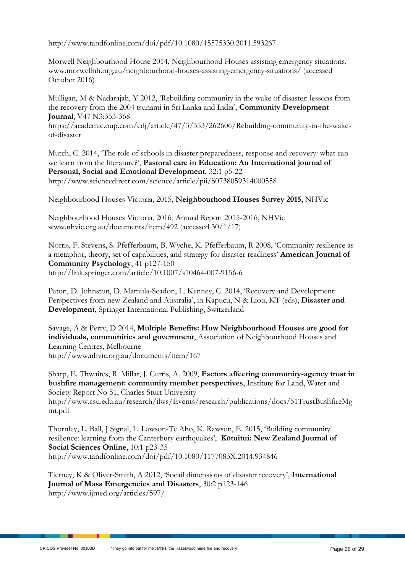<http://www.tandfonline.com/doi/pdf/10.1080/15575330.2011.593267>

Morwell Neighbourhood House 2014, Neighbourhood Houses assisting emergency situations, [www.morwellnh.org.au/neighbourhood-houses-assisting-emergency-situations/](http://www.morwellnh.org.au/neighbourhood-houses-assisting-emergency-situations/) (accessed October 2016)

Mulligan, M & Nadarajah, Y 2012, 'Rebuilding community in the wake of disaster: lessons from the recovery from the 2004 tsunami in Sri Lanka and India', **Community Development Journal**, V47 N3:353-368

[https://academic.oup.com/cdj/article/47/3/353/262606/Rebuilding-community-in-the-wake](https://academic.oup.com/cdj/article/47/3/353/262606/Rebuilding-community-in-the-wake-of-disaster)[of-disaster](https://academic.oup.com/cdj/article/47/3/353/262606/Rebuilding-community-in-the-wake-of-disaster)

Mutch, C. 2014, 'The role of schools in disaster preparedness, response and recovery: what can we learn from the literature?', **Pastoral care in Education: An International journal of Personal, Social and Emotional Development**, 32:1 p5-22 <http://www.sciencedirect.com/science/article/pii/S0738059314000558>

Neighbourhood Houses Victoria, 2015, **Neighbourhood Houses Survey 2015**, NHVic

Neighbourhood Houses Victoria, 2016, Annual Report 2015-2016, NHVic [www.nhvic.org.au/documents/item/492](http://www.nhvic.org.au/documents/item/492) (accessed 30/1/17)

Norris, F. Stevens, S. Pfefferbaum, B. Wyche, K. Pfefferbaum, R 2008, 'Community resilience as a metaphor, theory, set of capabilities, and strategy for disaster readiness' **American Journal of Community Psychology**, 41 p127-150 <http://link.springer.com/article/10.1007/s10464-007-9156-6>

Paton, D. Johnston, D. Mamula-Seadon, L. Kenney, C. 2014, 'Recovery and Development: Perspectives from new Zealand and Australia', in Kapucu, N & Liou, KT (eds), **Disaster and Development**, Springer International Publishing, Switzerland

Savage, A & Perry, D 2014, **Multiple Benefits: How Neighbourhood Houses are good for individuals, communities and government**, Association of Neighbourhood Houses and Learning Centres, Melbourne <http://www.nhvic.org.au/documents/item/167>

Sharp, E. Thwaites, R. Millar, J. Curtis, A. 2009, **Factors affecting community-agency trust in bushfire management: community member perspectives**, Institute for Land, Water and Society Report No 51, Charles Sturt University [http://www.csu.edu.au/research/ilws/Events/research/publications/docs/51TrustBushfireMg](http://www.csu.edu.au/research/ilws/Events/research/publications/docs/51TrustBushfireMgmt.pdf) [mt.pdf](http://www.csu.edu.au/research/ilws/Events/research/publications/docs/51TrustBushfireMgmt.pdf)

Thornley, L. Ball, J Signal, L. Lawson-Te Aho, K. Rawson, E. 2015, 'Building community resilience: learning from the Canterbury earthquakes', **Kōtuitui: New Zealand Journal of Social Sciences Online**, 10:1 p23-35 <http://www.tandfonline.com/doi/pdf/10.1080/1177083X.2014.934846>

Tierney, K & Oliver-Smith, A 2012, 'Socail dimensions of disaster recovery', **International Journal of Mass Emergencies and Disasters**, 30:2 p123-146 <http://www.ijmed.org/articles/597/>